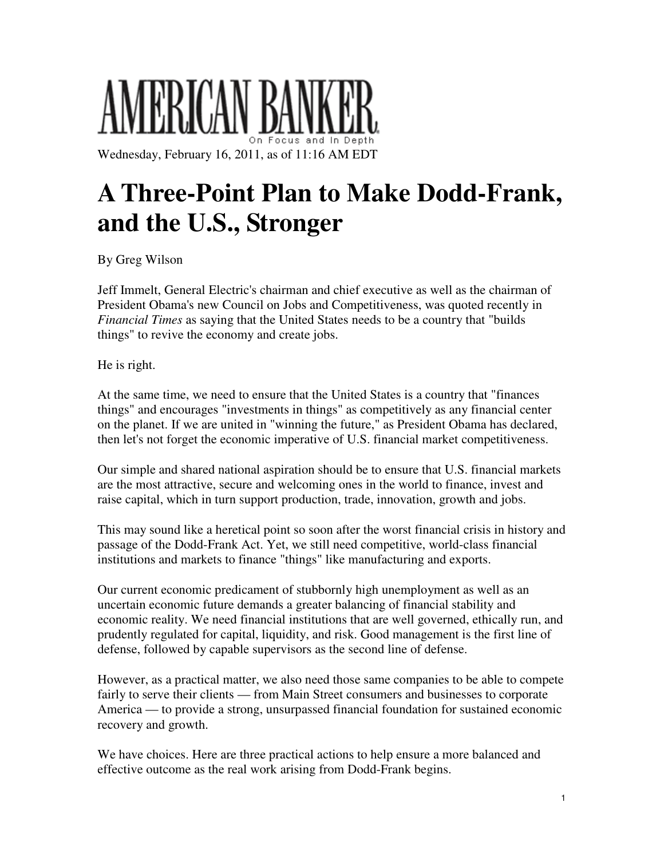## MERICAN B Wednesday, February 16, 2011, as of 11:16 AM EDT

**A Three-Point Plan to Make Dodd-Frank, and the U.S., Stronger** 

By Greg Wilson

Jeff Immelt, General Electric's chairman and chief executive as well as the chairman of President Obama's new Council on Jobs and Competitiveness, was quoted recently in *Financial Times* as saying that the United States needs to be a country that "builds things" to revive the economy and create jobs.

He is right.

At the same time, we need to ensure that the United States is a country that "finances things" and encourages "investments in things" as competitively as any financial center on the planet. If we are united in "winning the future," as President Obama has declared, then let's not forget the economic imperative of U.S. financial market competitiveness.

Our simple and shared national aspiration should be to ensure that U.S. financial markets are the most attractive, secure and welcoming ones in the world to finance, invest and raise capital, which in turn support production, trade, innovation, growth and jobs.

This may sound like a heretical point so soon after the worst financial crisis in history and passage of the Dodd-Frank Act. Yet, we still need competitive, world-class financial institutions and markets to finance "things" like manufacturing and exports.

Our current economic predicament of stubbornly high unemployment as well as an uncertain economic future demands a greater balancing of financial stability and economic reality. We need financial institutions that are well governed, ethically run, and prudently regulated for capital, liquidity, and risk. Good management is the first line of defense, followed by capable supervisors as the second line of defense.

However, as a practical matter, we also need those same companies to be able to compete fairly to serve their clients — from Main Street consumers and businesses to corporate America — to provide a strong, unsurpassed financial foundation for sustained economic recovery and growth.

We have choices. Here are three practical actions to help ensure a more balanced and effective outcome as the real work arising from Dodd-Frank begins.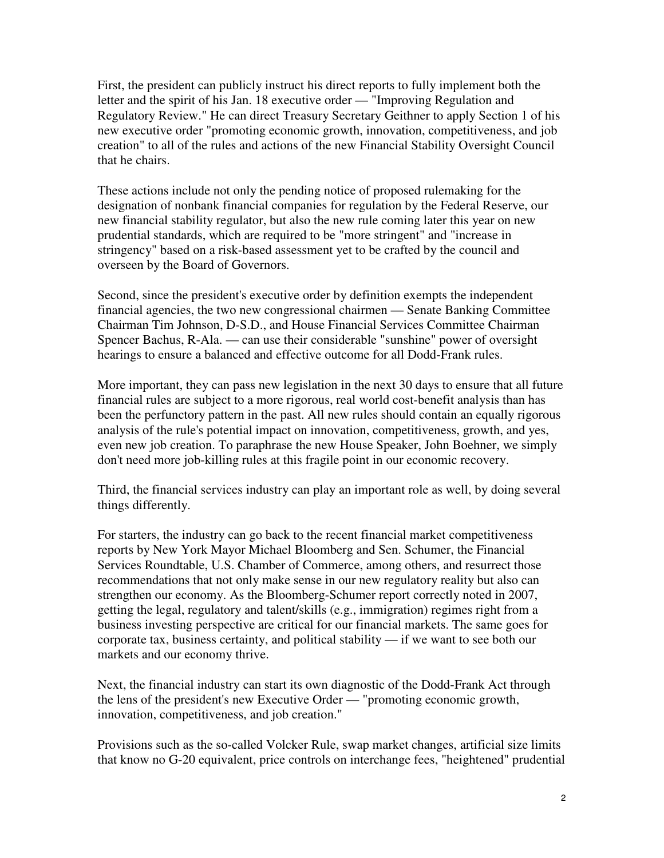First, the president can publicly instruct his direct reports to fully implement both the letter and the spirit of his Jan. 18 executive order — "Improving Regulation and Regulatory Review." He can direct Treasury Secretary Geithner to apply Section 1 of his new executive order "promoting economic growth, innovation, competitiveness, and job creation" to all of the rules and actions of the new Financial Stability Oversight Council that he chairs.

These actions include not only the pending notice of proposed rulemaking for the designation of nonbank financial companies for regulation by the Federal Reserve, our new financial stability regulator, but also the new rule coming later this year on new prudential standards, which are required to be "more stringent" and "increase in stringency" based on a risk-based assessment yet to be crafted by the council and overseen by the Board of Governors.

Second, since the president's executive order by definition exempts the independent financial agencies, the two new congressional chairmen — Senate Banking Committee Chairman Tim Johnson, D-S.D., and House Financial Services Committee Chairman Spencer Bachus, R-Ala. — can use their considerable "sunshine" power of oversight hearings to ensure a balanced and effective outcome for all Dodd-Frank rules.

More important, they can pass new legislation in the next 30 days to ensure that all future financial rules are subject to a more rigorous, real world cost-benefit analysis than has been the perfunctory pattern in the past. All new rules should contain an equally rigorous analysis of the rule's potential impact on innovation, competitiveness, growth, and yes, even new job creation. To paraphrase the new House Speaker, John Boehner, we simply don't need more job-killing rules at this fragile point in our economic recovery.

Third, the financial services industry can play an important role as well, by doing several things differently.

For starters, the industry can go back to the recent financial market competitiveness reports by New York Mayor Michael Bloomberg and Sen. Schumer, the Financial Services Roundtable, U.S. Chamber of Commerce, among others, and resurrect those recommendations that not only make sense in our new regulatory reality but also can strengthen our economy. As the Bloomberg-Schumer report correctly noted in 2007, getting the legal, regulatory and talent/skills (e.g., immigration) regimes right from a business investing perspective are critical for our financial markets. The same goes for corporate tax, business certainty, and political stability — if we want to see both our markets and our economy thrive.

Next, the financial industry can start its own diagnostic of the Dodd-Frank Act through the lens of the president's new Executive Order — "promoting economic growth, innovation, competitiveness, and job creation."

Provisions such as the so-called Volcker Rule, swap market changes, artificial size limits that know no G-20 equivalent, price controls on interchange fees, "heightened" prudential